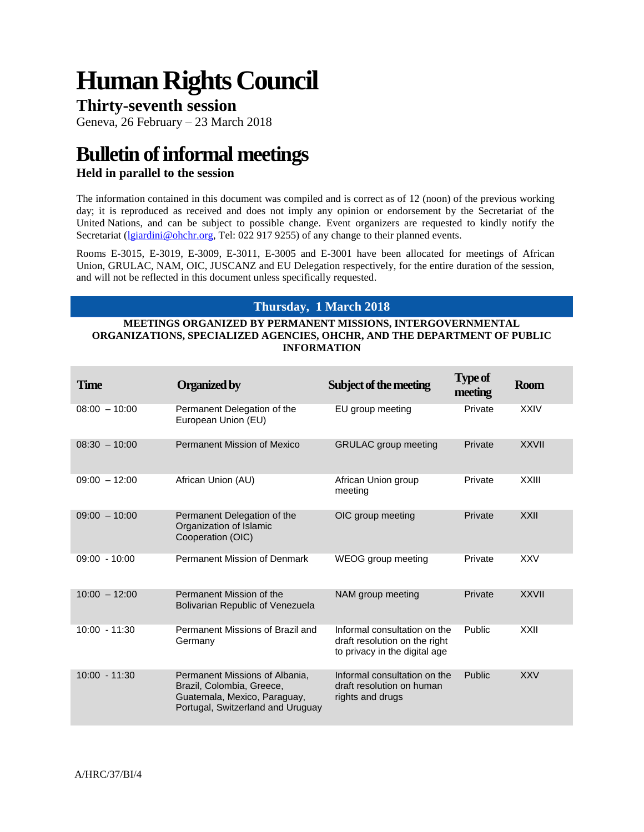# **Human Rights Council**

### **Thirty-seventh session**

Geneva, 26 February – 23 March 2018

## **Bulletin of informal meetings**

#### **Held in parallel to the session**

The information contained in this document was compiled and is correct as of 12 (noon) of the previous working day; it is reproduced as received and does not imply any opinion or endorsement by the Secretariat of the United Nations, and can be subject to possible change. Event organizers are requested to kindly notify the Secretariat [\(lgiardini@ohchr.org,](mailto:lgiardini@ohchr.org) Tel: 022 917 9255) of any change to their planned events.

Rooms E-3015, E-3019, E-3009, E-3011, E-3005 and E-3001 have been allocated for meetings of African Union, GRULAC, NAM, OIC, JUSCANZ and EU Delegation respectively, for the entire duration of the session, and will not be reflected in this document unless specifically requested.

#### **Thursday, 1 March 2018**

#### **MEETINGS ORGANIZED BY PERMANENT MISSIONS, INTERGOVERNMENTAL ORGANIZATIONS, SPECIALIZED AGENCIES, OHCHR, AND THE DEPARTMENT OF PUBLIC INFORMATION**

| <b>Time</b>     | <b>Organized by</b>                                                                                                              | Subject of the meeting                                                                         | <b>Type of</b><br>meeting | <b>Room</b>  |
|-----------------|----------------------------------------------------------------------------------------------------------------------------------|------------------------------------------------------------------------------------------------|---------------------------|--------------|
| $08:00 - 10:00$ | Permanent Delegation of the<br>European Union (EU)                                                                               | EU group meeting                                                                               | Private                   | <b>XXIV</b>  |
| $08:30 - 10:00$ | Permanent Mission of Mexico                                                                                                      | <b>GRULAC</b> group meeting                                                                    | Private                   | <b>XXVII</b> |
| $09:00 - 12:00$ | African Union (AU)                                                                                                               | African Union group<br>meeting                                                                 | Private                   | <b>XXIII</b> |
| $09:00 - 10:00$ | Permanent Delegation of the<br>Organization of Islamic<br>Cooperation (OIC)                                                      | OIC group meeting                                                                              | Private                   | <b>XXII</b>  |
| $09:00 - 10:00$ | Permanent Mission of Denmark                                                                                                     | WEOG group meeting                                                                             | Private                   | <b>XXV</b>   |
| $10:00 - 12:00$ | Permanent Mission of the<br>Bolivarian Republic of Venezuela                                                                     | NAM group meeting                                                                              | Private                   | <b>XXVII</b> |
| $10:00 - 11:30$ | Permanent Missions of Brazil and<br>Germany                                                                                      | Informal consultation on the<br>draft resolution on the right<br>to privacy in the digital age | Public                    | <b>XXII</b>  |
| $10:00 - 11:30$ | Permanent Missions of Albania,<br>Brazil, Colombia, Greece,<br>Guatemala, Mexico, Paraguay,<br>Portugal, Switzerland and Uruguay | Informal consultation on the<br>draft resolution on human<br>rights and drugs                  | Public                    | <b>XXV</b>   |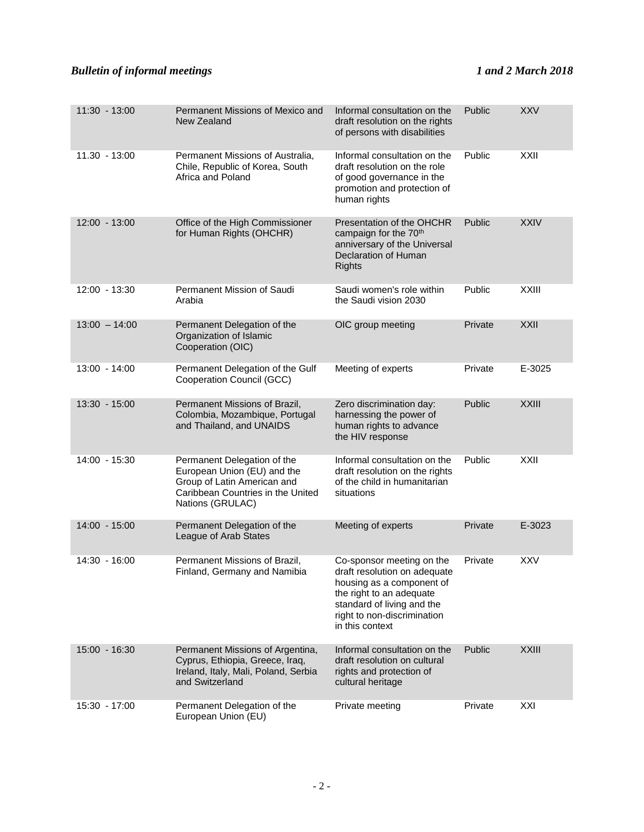#### *Bulletin of informal meetings*  $\overline{a}$  *Bulletin of informal meetings*  $\overline{a}$  *and 2 March 2018*

| $11:30 - 13:00$ | Permanent Missions of Mexico and<br>New Zealand                                                                                                    | Informal consultation on the<br>draft resolution on the rights<br>of persons with disabilities                                                                                                     | Public  | <b>XXV</b>   |
|-----------------|----------------------------------------------------------------------------------------------------------------------------------------------------|----------------------------------------------------------------------------------------------------------------------------------------------------------------------------------------------------|---------|--------------|
| $11.30 - 13:00$ | Permanent Missions of Australia,<br>Chile, Republic of Korea, South<br>Africa and Poland                                                           | Informal consultation on the<br>draft resolution on the role<br>of good governance in the<br>promotion and protection of<br>human rights                                                           | Public  | XXII         |
| 12:00 - 13:00   | Office of the High Commissioner<br>for Human Rights (OHCHR)                                                                                        | Presentation of the OHCHR<br>campaign for the 70 <sup>th</sup><br>anniversary of the Universal<br>Declaration of Human<br><b>Rights</b>                                                            | Public  | <b>XXIV</b>  |
| 12:00 - 13:30   | Permanent Mission of Saudi<br>Arabia                                                                                                               | Saudi women's role within<br>the Saudi vision 2030                                                                                                                                                 | Public  | <b>XXIII</b> |
| $13:00 - 14:00$ | Permanent Delegation of the<br>Organization of Islamic<br>Cooperation (OIC)                                                                        | OIC group meeting                                                                                                                                                                                  | Private | <b>XXII</b>  |
| 13:00 - 14:00   | Permanent Delegation of the Gulf<br>Cooperation Council (GCC)                                                                                      | Meeting of experts                                                                                                                                                                                 | Private | E-3025       |
| 13:30 - 15:00   | Permanent Missions of Brazil,<br>Colombia, Mozambique, Portugal<br>and Thailand, and UNAIDS                                                        | Zero discrimination day:<br>harnessing the power of<br>human rights to advance<br>the HIV response                                                                                                 | Public  | <b>XXIII</b> |
| 14:00 - 15:30   | Permanent Delegation of the<br>European Union (EU) and the<br>Group of Latin American and<br>Caribbean Countries in the United<br>Nations (GRULAC) | Informal consultation on the<br>draft resolution on the rights<br>of the child in humanitarian<br>situations                                                                                       | Public  | <b>XXII</b>  |
| 14:00 - 15:00   | Permanent Delegation of the<br>League of Arab States                                                                                               | Meeting of experts                                                                                                                                                                                 | Private | E-3023       |
| 14:30 - 16:00   | Permanent Missions of Brazil,<br>Finland, Germany and Namibia                                                                                      | Co-sponsor meeting on the<br>draft resolution on adequate<br>housing as a component of<br>the right to an adequate<br>standard of living and the<br>right to non-discrimination<br>in this context | Private | <b>XXV</b>   |
| $15:00 - 16:30$ | Permanent Missions of Argentina,<br>Cyprus, Ethiopia, Greece, Iraq,<br>Ireland, Italy, Mali, Poland, Serbia<br>and Switzerland                     | Informal consultation on the<br>draft resolution on cultural<br>rights and protection of<br>cultural heritage                                                                                      | Public  | <b>XXIII</b> |
| 15:30 - 17:00   | Permanent Delegation of the<br>European Union (EU)                                                                                                 | Private meeting                                                                                                                                                                                    | Private | XXI          |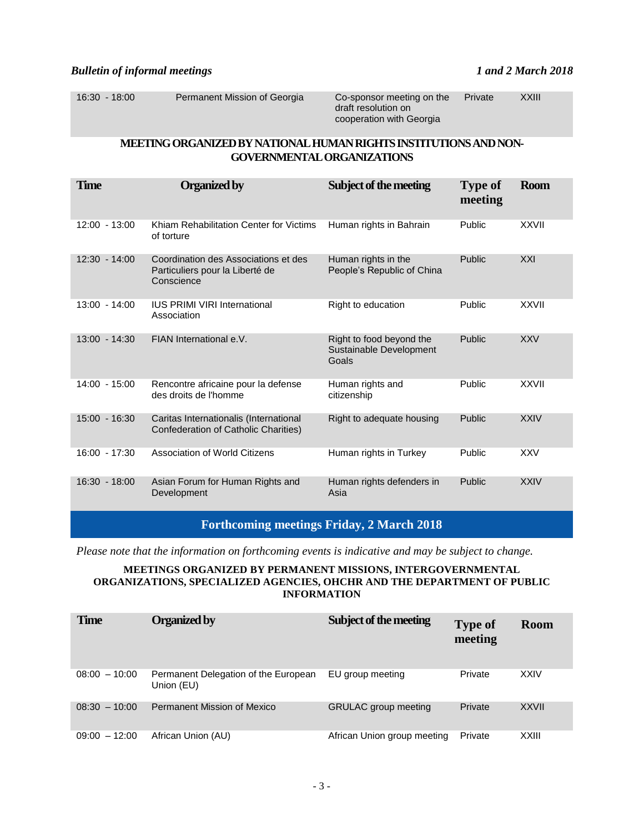16:30 - 18:00 Permanent Mission of Georgia Co-sponsor meeting on the

draft resolution on cooperation with Georgia Private XXIII

#### **MEETING ORGANIZED BY NATIONAL HUMAN RIGHTS INSTITUTIONS AND NON-GOVERNMENTAL ORGANIZATIONS**

| <b>Time</b>     | <b>Organized by</b>                                                                   | Subject of the meeting                                       | <b>Type of</b><br>meeting | <b>Room</b>  |
|-----------------|---------------------------------------------------------------------------------------|--------------------------------------------------------------|---------------------------|--------------|
| $12:00 - 13:00$ | Khiam Rehabilitation Center for Victims<br>of torture                                 | Human rights in Bahrain                                      | Public                    | <b>XXVII</b> |
| $12:30 - 14:00$ | Coordination des Associations et des<br>Particuliers pour la Liberté de<br>Conscience | Human rights in the<br>People's Republic of China            | Public                    | <b>XXI</b>   |
| $13:00 - 14:00$ | <b>IUS PRIMI VIRI International</b><br>Association                                    | Right to education                                           | Public                    | <b>XXVII</b> |
| $13:00 - 14:30$ | FIAN International e.V.                                                               | Right to food beyond the<br>Sustainable Development<br>Goals | Public                    | <b>XXV</b>   |
| $14:00 - 15:00$ | Rencontre africaine pour la defense<br>des droits de l'homme                          | Human rights and<br>citizenship                              | Public                    | <b>XXVII</b> |
| $15:00 - 16:30$ | Caritas Internationalis (International<br>Confederation of Catholic Charities)        | Right to adequate housing                                    | Public                    | <b>XXIV</b>  |
| $16:00 - 17:30$ | Association of World Citizens                                                         | Human rights in Turkey                                       | Public                    | <b>XXV</b>   |
| $16:30 - 18:00$ | Asian Forum for Human Rights and<br>Development                                       | Human rights defenders in<br>Asia                            | Public                    | <b>XXIV</b>  |

#### **Forthcoming meetings Friday, 2 March 2018**

*Please note that the information on forthcoming events is indicative and may be subject to change.*

#### **MEETINGS ORGANIZED BY PERMANENT MISSIONS, INTERGOVERNMENTAL ORGANIZATIONS, SPECIALIZED AGENCIES, OHCHR AND THE DEPARTMENT OF PUBLIC INFORMATION**

| <b>Time</b>     | <b>Organized by</b>                                | Subject of the meeting      | <b>Type of</b><br>meeting | <b>Room</b>  |
|-----------------|----------------------------------------------------|-----------------------------|---------------------------|--------------|
| $08:00 - 10:00$ | Permanent Delegation of the European<br>Union (EU) | EU group meeting            | Private                   | XXIV         |
| $08:30 - 10:00$ | <b>Permanent Mission of Mexico</b>                 | <b>GRULAC</b> group meeting | Private                   | <b>XXVII</b> |
| $09:00 - 12:00$ | African Union (AU)                                 | African Union group meeting | Private                   | <b>XXIII</b> |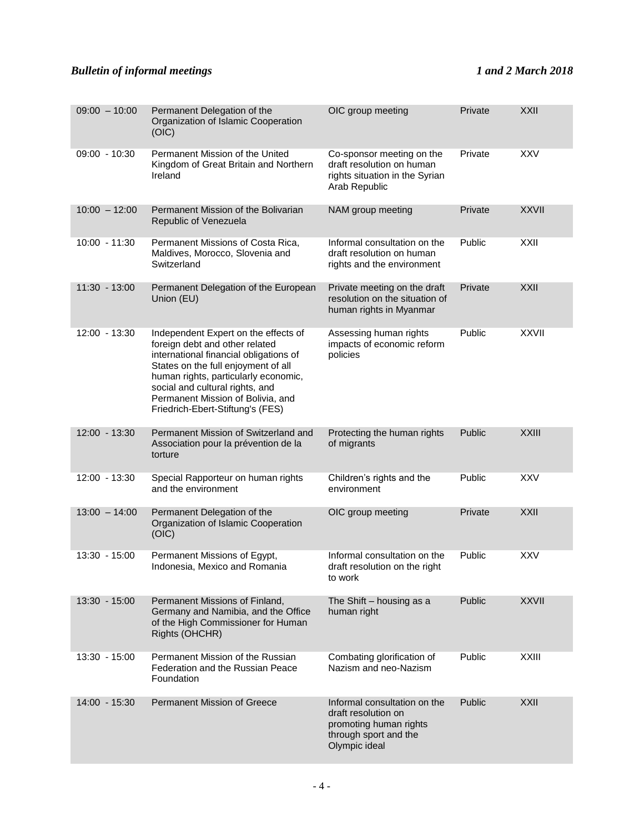#### *Bulletin of informal meetings*  $\overline{a}$  *Bulletin of informal meetings*  $\overline{a}$  *and 2 March 2018*

| $09:00 - 10:00$ | Permanent Delegation of the<br>Organization of Islamic Cooperation<br>(OIC)                                                                                                                                                                                                                                 | OIC group meeting                                                                                                       | Private | <b>XXII</b>  |
|-----------------|-------------------------------------------------------------------------------------------------------------------------------------------------------------------------------------------------------------------------------------------------------------------------------------------------------------|-------------------------------------------------------------------------------------------------------------------------|---------|--------------|
| $09:00 - 10:30$ | Permanent Mission of the United<br>Kingdom of Great Britain and Northern<br>Ireland                                                                                                                                                                                                                         | Co-sponsor meeting on the<br>draft resolution on human<br>rights situation in the Syrian<br>Arab Republic               | Private | <b>XXV</b>   |
| $10:00 - 12:00$ | Permanent Mission of the Bolivarian<br>Republic of Venezuela                                                                                                                                                                                                                                                | NAM group meeting                                                                                                       | Private | <b>XXVII</b> |
| $10:00 - 11:30$ | Permanent Missions of Costa Rica,<br>Maldives, Morocco, Slovenia and<br>Switzerland                                                                                                                                                                                                                         | Informal consultation on the<br>draft resolution on human<br>rights and the environment                                 | Public  | <b>XXII</b>  |
| 11:30 - 13:00   | Permanent Delegation of the European<br>Union (EU)                                                                                                                                                                                                                                                          | Private meeting on the draft<br>resolution on the situation of<br>human rights in Myanmar                               | Private | <b>XXII</b>  |
| 12:00 - 13:30   | Independent Expert on the effects of<br>foreign debt and other related<br>international financial obligations of<br>States on the full enjoyment of all<br>human rights, particularly economic,<br>social and cultural rights, and<br>Permanent Mission of Bolivia, and<br>Friedrich-Ebert-Stiftung's (FES) | Assessing human rights<br>impacts of economic reform<br>policies                                                        | Public  | <b>XXVII</b> |
| 12:00 - 13:30   | Permanent Mission of Switzerland and<br>Association pour la prévention de la<br>torture                                                                                                                                                                                                                     | Protecting the human rights<br>of migrants                                                                              | Public  | <b>XXIII</b> |
| 12:00 - 13:30   | Special Rapporteur on human rights<br>and the environment                                                                                                                                                                                                                                                   | Children's rights and the<br>environment                                                                                | Public  | <b>XXV</b>   |
| $13:00 - 14:00$ | Permanent Delegation of the<br>Organization of Islamic Cooperation<br>(OIC)                                                                                                                                                                                                                                 | OIC group meeting                                                                                                       | Private | <b>XXII</b>  |
| 13:30 - 15:00   | Permanent Missions of Egypt,<br>Indonesia, Mexico and Romania                                                                                                                                                                                                                                               | Informal consultation on the<br>draft resolution on the right<br>to work                                                | Public  | <b>XXV</b>   |
| $13:30 - 15:00$ | Permanent Missions of Finland,<br>Germany and Namibia, and the Office<br>of the High Commissioner for Human<br>Rights (OHCHR)                                                                                                                                                                               | The Shift - housing as a<br>human right                                                                                 | Public  | <b>XXVII</b> |
| 13:30 - 15:00   | Permanent Mission of the Russian<br>Federation and the Russian Peace<br>Foundation                                                                                                                                                                                                                          | Combating glorification of<br>Nazism and neo-Nazism                                                                     | Public  | <b>XXIII</b> |
| 14:00 - 15:30   | <b>Permanent Mission of Greece</b>                                                                                                                                                                                                                                                                          | Informal consultation on the<br>draft resolution on<br>promoting human rights<br>through sport and the<br>Olympic ideal | Public  | <b>XXII</b>  |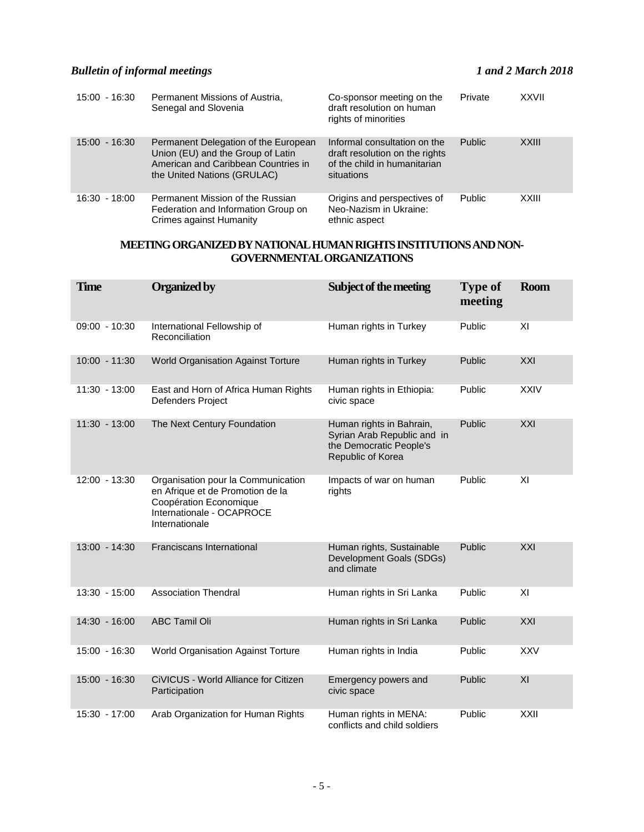#### *Bulletin of informal meetings*  $\qquad \qquad$  1 and 2 March 2018

| 15:00 - 16:30   | Permanent Missions of Austria.<br>Senegal and Slovenia                                                                                          | Co-sponsor meeting on the<br>draft resolution on human<br>rights of minorities                               | Private       | XXVII        |
|-----------------|-------------------------------------------------------------------------------------------------------------------------------------------------|--------------------------------------------------------------------------------------------------------------|---------------|--------------|
| $15:00 - 16:30$ | Permanent Delegation of the European<br>Union (EU) and the Group of Latin<br>American and Caribbean Countries in<br>the United Nations (GRULAC) | Informal consultation on the<br>draft resolution on the rights<br>of the child in humanitarian<br>situations | <b>Public</b> | <b>XXIII</b> |
| $16:30 - 18:00$ | Permanent Mission of the Russian<br>Federation and Information Group on<br>Crimes against Humanity                                              | Origins and perspectives of<br>Neo-Nazism in Ukraine:<br>ethnic aspect                                       | Public        | XXIII        |

#### **MEETING ORGANIZED BY NATIONAL HUMAN RIGHTS INSTITUTIONS AND NON-GOVERNMENTAL ORGANIZATIONS**

| <b>Time</b>     | <b>Organized by</b>                                                                                                                             | Subject of the meeting                                                                                  | <b>Type of</b><br>meeting | <b>Room</b> |
|-----------------|-------------------------------------------------------------------------------------------------------------------------------------------------|---------------------------------------------------------------------------------------------------------|---------------------------|-------------|
| 09:00 - 10:30   | International Fellowship of<br>Reconciliation                                                                                                   | Human rights in Turkey                                                                                  | Public                    | XI          |
| $10:00 - 11:30$ | <b>World Organisation Against Torture</b>                                                                                                       | Human rights in Turkey                                                                                  | Public                    | XXI         |
| $11:30 - 13:00$ | East and Horn of Africa Human Rights<br>Defenders Project                                                                                       | Human rights in Ethiopia:<br>civic space                                                                | Public                    | <b>XXIV</b> |
| $11:30 - 13:00$ | The Next Century Foundation                                                                                                                     | Human rights in Bahrain,<br>Syrian Arab Republic and in<br>the Democratic People's<br>Republic of Korea | Public                    | <b>XXI</b>  |
| $12:00 - 13:30$ | Organisation pour la Communication<br>en Afrique et de Promotion de la<br>Coopération Economique<br>Internationale - OCAPROCE<br>Internationale | Impacts of war on human<br>rights                                                                       | Public                    | XI          |
| 13:00 - 14:30   | Franciscans International                                                                                                                       | Human rights, Sustainable<br>Development Goals (SDGs)<br>and climate                                    | Public                    | XXI         |
| $13:30 - 15:00$ | <b>Association Thendral</b>                                                                                                                     | Human rights in Sri Lanka                                                                               | Public                    | XI          |
| $14:30 - 16:00$ | <b>ABC Tamil Oli</b>                                                                                                                            | Human rights in Sri Lanka                                                                               | <b>Public</b>             | <b>XXI</b>  |
| $15:00 - 16:30$ | World Organisation Against Torture                                                                                                              | Human rights in India                                                                                   | Public                    | <b>XXV</b>  |
| 15:00 - 16:30   | CiVICUS - World Alliance for Citizen<br>Participation                                                                                           | Emergency powers and<br>civic space                                                                     | Public                    | XI          |
| 15:30 - 17:00   | Arab Organization for Human Rights                                                                                                              | Human rights in MENA:<br>conflicts and child soldiers                                                   | Public                    | <b>XXII</b> |